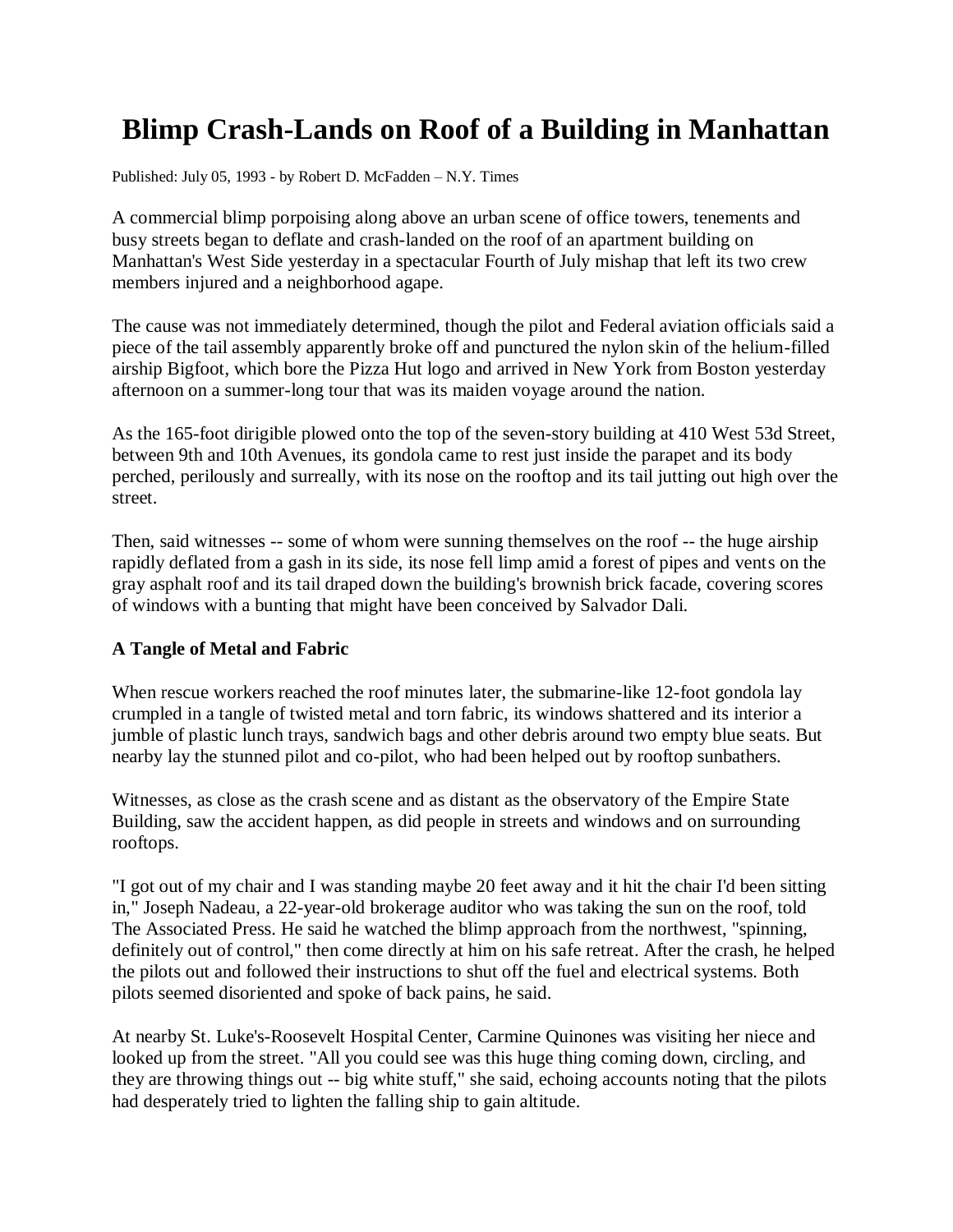# **Blimp Crash-Lands on Roof of a Building in Manhattan**

Published: July 05, 1993 - by Robert D. McFadden – N.Y. Times

A commercial blimp porpoising along above an urban scene of office towers, tenements and busy streets began to deflate and crash-landed on the roof of an apartment building on Manhattan's West Side yesterday in a spectacular Fourth of July mishap that left its two crew members injured and a neighborhood agape.

The cause was not immediately determined, though the pilot and Federal aviation officials said a piece of the tail assembly apparently broke off and punctured the nylon skin of the helium-filled airship Bigfoot, which bore the Pizza Hut logo and arrived in New York from Boston yesterday afternoon on a summer-long tour that was its maiden voyage around the nation.

As the 165-foot dirigible plowed onto the top of the seven-story building at 410 West 53d Street, between 9th and 10th Avenues, its gondola came to rest just inside the parapet and its body perched, perilously and surreally, with its nose on the rooftop and its tail jutting out high over the street.

Then, said witnesses -- some of whom were sunning themselves on the roof -- the huge airship rapidly deflated from a gash in its side, its nose fell limp amid a forest of pipes and vents on the gray asphalt roof and its tail draped down the building's brownish brick facade, covering scores of windows with a bunting that might have been conceived by Salvador Dali.

#### **A Tangle of Metal and Fabric**

When rescue workers reached the roof minutes later, the submarine-like 12-foot gondola lay crumpled in a tangle of twisted metal and torn fabric, its windows shattered and its interior a jumble of plastic lunch trays, sandwich bags and other debris around two empty blue seats. But nearby lay the stunned pilot and co-pilot, who had been helped out by rooftop sunbathers.

Witnesses, as close as the crash scene and as distant as the observatory of the Empire State Building, saw the accident happen, as did people in streets and windows and on surrounding rooftops.

"I got out of my chair and I was standing maybe 20 feet away and it hit the chair I'd been sitting in," Joseph Nadeau, a 22-year-old brokerage auditor who was taking the sun on the roof, told The Associated Press. He said he watched the blimp approach from the northwest, "spinning, definitely out of control," then come directly at him on his safe retreat. After the crash, he helped the pilots out and followed their instructions to shut off the fuel and electrical systems. Both pilots seemed disoriented and spoke of back pains, he said.

At nearby St. Luke's-Roosevelt Hospital Center, Carmine Quinones was visiting her niece and looked up from the street. "All you could see was this huge thing coming down, circling, and they are throwing things out -- big white stuff," she said, echoing accounts noting that the pilots had desperately tried to lighten the falling ship to gain altitude.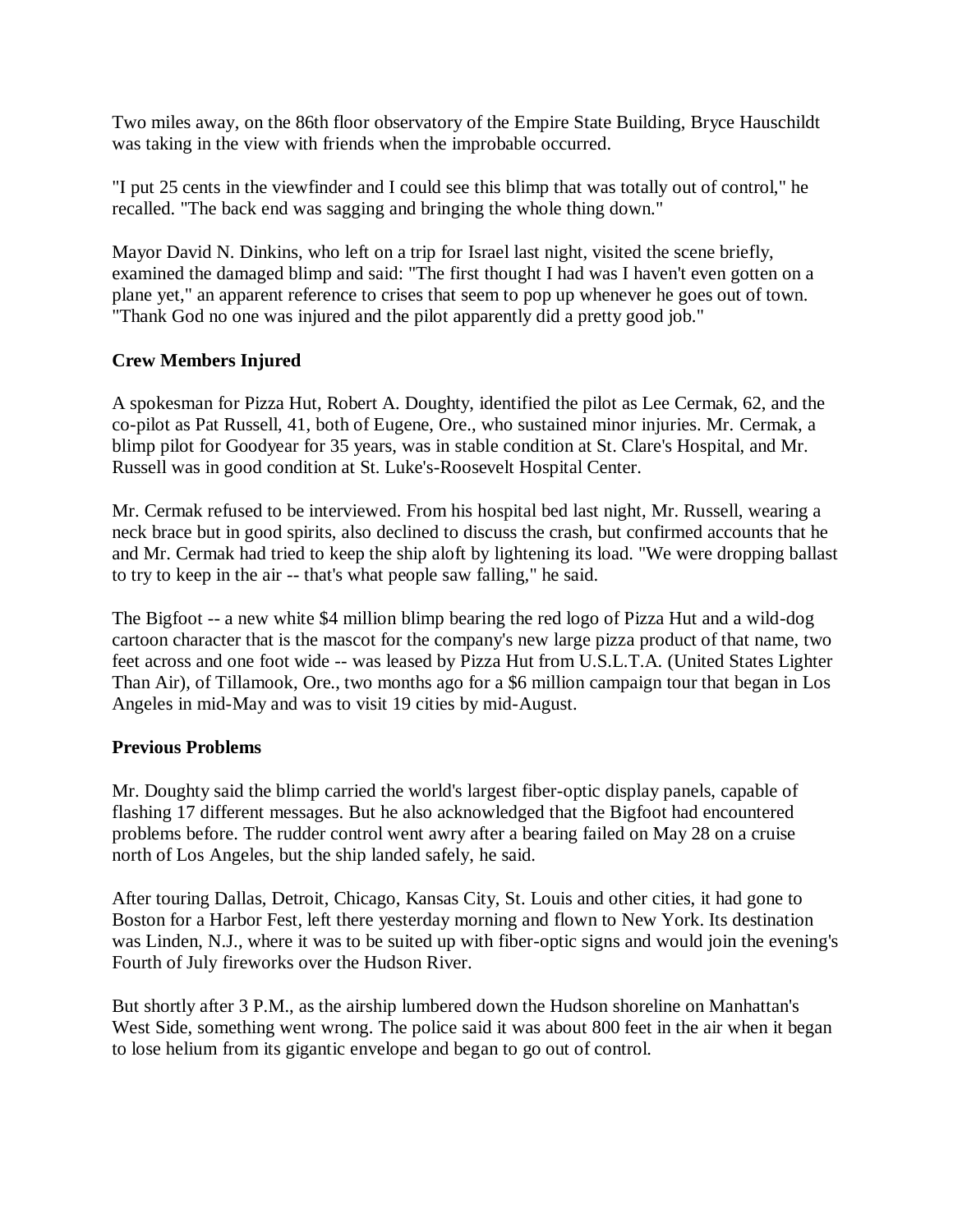Two miles away, on the 86th floor observatory of the Empire State Building, Bryce Hauschildt was taking in the view with friends when the improbable occurred.

"I put 25 cents in the viewfinder and I could see this blimp that was totally out of control," he recalled. "The back end was sagging and bringing the whole thing down."

Mayor David N. Dinkins, who left on a trip for Israel last night, visited the scene briefly, examined the damaged blimp and said: "The first thought I had was I haven't even gotten on a plane yet," an apparent reference to crises that seem to pop up whenever he goes out of town. "Thank God no one was injured and the pilot apparently did a pretty good job."

### **Crew Members Injured**

A spokesman for Pizza Hut, Robert A. Doughty, identified the pilot as Lee Cermak, 62, and the co-pilot as Pat Russell, 41, both of Eugene, Ore., who sustained minor injuries. Mr. Cermak, a blimp pilot for Goodyear for 35 years, was in stable condition at St. Clare's Hospital, and Mr. Russell was in good condition at St. Luke's-Roosevelt Hospital Center.

Mr. Cermak refused to be interviewed. From his hospital bed last night, Mr. Russell, wearing a neck brace but in good spirits, also declined to discuss the crash, but confirmed accounts that he and Mr. Cermak had tried to keep the ship aloft by lightening its load. "We were dropping ballast to try to keep in the air -- that's what people saw falling," he said.

The Bigfoot -- a new white \$4 million blimp bearing the red logo of Pizza Hut and a wild-dog cartoon character that is the mascot for the company's new large pizza product of that name, two feet across and one foot wide -- was leased by Pizza Hut from U.S.L.T.A. (United States Lighter Than Air), of Tillamook, Ore., two months ago for a \$6 million campaign tour that began in Los Angeles in mid-May and was to visit 19 cities by mid-August.

### **Previous Problems**

Mr. Doughty said the blimp carried the world's largest fiber-optic display panels, capable of flashing 17 different messages. But he also acknowledged that the Bigfoot had encountered problems before. The rudder control went awry after a bearing failed on May 28 on a cruise north of Los Angeles, but the ship landed safely, he said.

After touring Dallas, Detroit, Chicago, Kansas City, St. Louis and other cities, it had gone to Boston for a Harbor Fest, left there yesterday morning and flown to New York. Its destination was Linden, N.J., where it was to be suited up with fiber-optic signs and would join the evening's Fourth of July fireworks over the Hudson River.

But shortly after 3 P.M., as the airship lumbered down the Hudson shoreline on Manhattan's West Side, something went wrong. The police said it was about 800 feet in the air when it began to lose helium from its gigantic envelope and began to go out of control.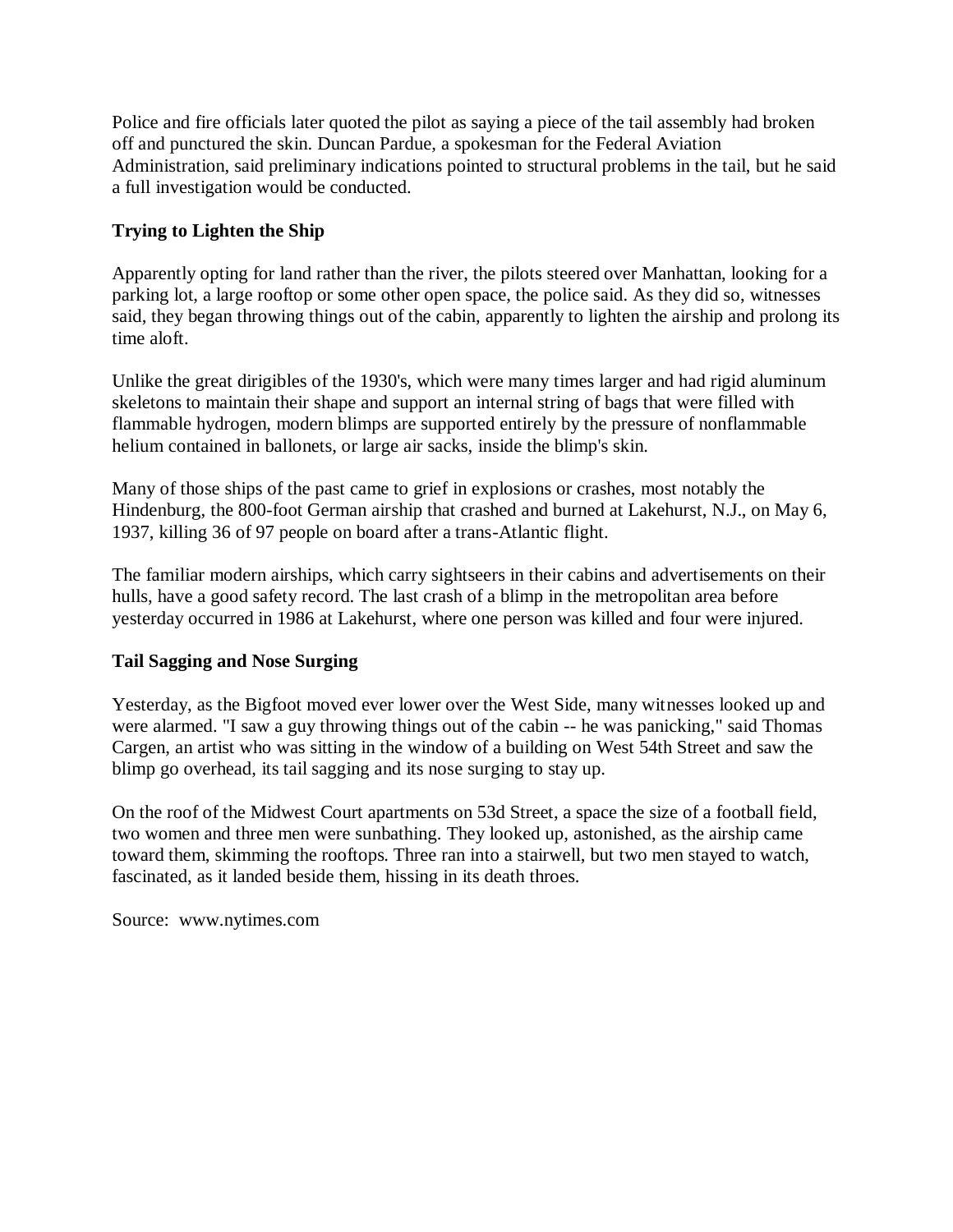Police and fire officials later quoted the pilot as saying a piece of the tail assembly had broken off and punctured the skin. Duncan Pardue, a spokesman for the Federal Aviation Administration, said preliminary indications pointed to structural problems in the tail, but he said a full investigation would be conducted.

## **Trying to Lighten the Ship**

Apparently opting for land rather than the river, the pilots steered over Manhattan, looking for a parking lot, a large rooftop or some other open space, the police said. As they did so, witnesses said, they began throwing things out of the cabin, apparently to lighten the airship and prolong its time aloft.

Unlike the great dirigibles of the 1930's, which were many times larger and had rigid aluminum skeletons to maintain their shape and support an internal string of bags that were filled with flammable hydrogen, modern blimps are supported entirely by the pressure of nonflammable helium contained in ballonets, or large air sacks, inside the blimp's skin.

Many of those ships of the past came to grief in explosions or crashes, most notably the Hindenburg, the 800-foot German airship that crashed and burned at Lakehurst, N.J., on May 6, 1937, killing 36 of 97 people on board after a trans-Atlantic flight.

The familiar modern airships, which carry sightseers in their cabins and advertisements on their hulls, have a good safety record. The last crash of a blimp in the metropolitan area before yesterday occurred in 1986 at Lakehurst, where one person was killed and four were injured.

### **Tail Sagging and Nose Surging**

Yesterday, as the Bigfoot moved ever lower over the West Side, many witnesses looked up and were alarmed. "I saw a guy throwing things out of the cabin -- he was panicking," said Thomas Cargen, an artist who was sitting in the window of a building on West 54th Street and saw the blimp go overhead, its tail sagging and its nose surging to stay up.

On the roof of the Midwest Court apartments on 53d Street, a space the size of a football field, two women and three men were sunbathing. They looked up, astonished, as the airship came toward them, skimming the rooftops. Three ran into a stairwell, but two men stayed to watch, fascinated, as it landed beside them, hissing in its death throes.

Source: www.nytimes.com